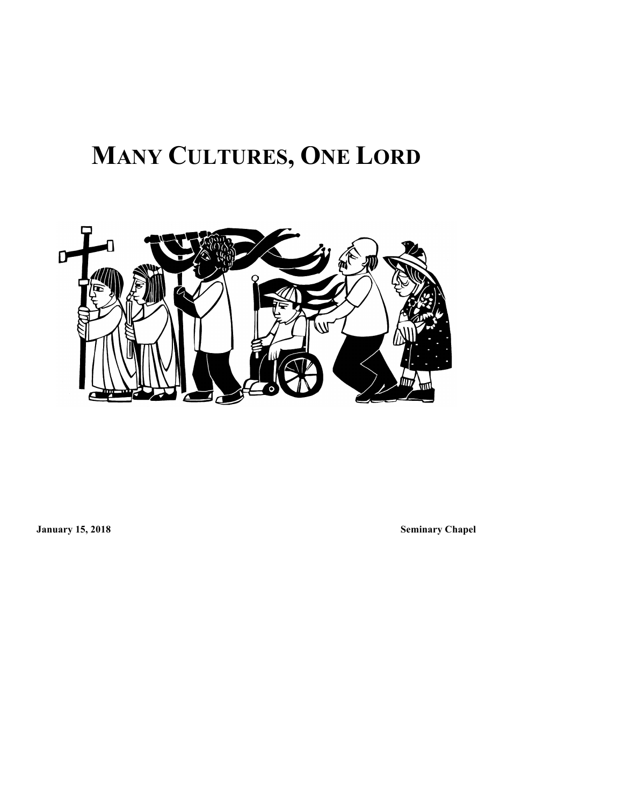# **MANY CULTURES, ONE LORD**



**January 15, 2018 Seminary Chapel**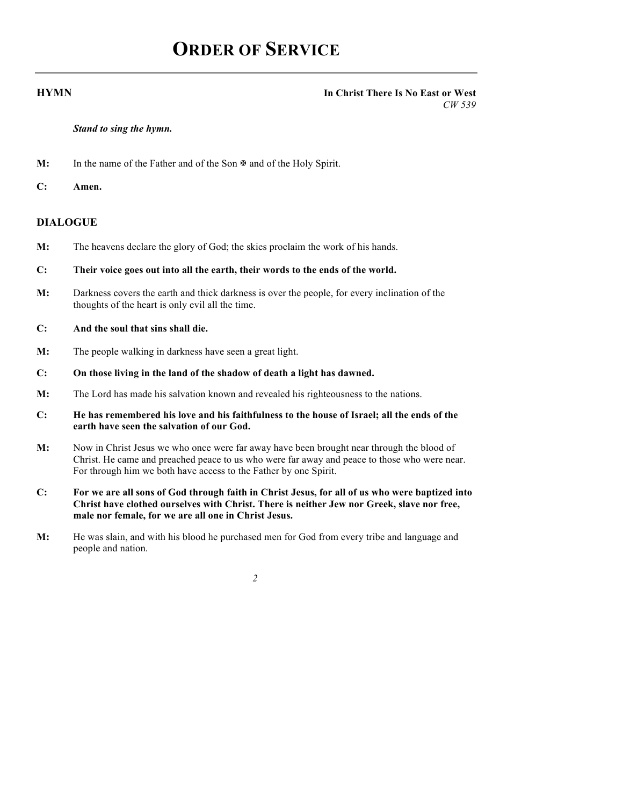## **ORDER OF SERVICE**

#### **HYMN In Christ There Is No East or West** *CW 539*

#### *Stand to sing the hymn.*

**M:** In the name of the Father and of the Son  $\mathbb{F}$  and of the Holy Spirit.

**C: Amen.**

#### **DIALOGUE**

- **M:** The heavens declare the glory of God; the skies proclaim the work of his hands.
- **C: Their voice goes out into all the earth, their words to the ends of the world.**
- **M:** Darkness covers the earth and thick darkness is over the people, for every inclination of the thoughts of the heart is only evil all the time.

#### **C: And the soul that sins shall die.**

- **M:** The people walking in darkness have seen a great light.
- **C: On those living in the land of the shadow of death a light has dawned.**
- **M:** The Lord has made his salvation known and revealed his righteousness to the nations.
- **C: He has remembered his love and his faithfulness to the house of Israel; all the ends of the earth have seen the salvation of our God.**
- **M:** Now in Christ Jesus we who once were far away have been brought near through the blood of Christ. He came and preached peace to us who were far away and peace to those who were near. For through him we both have access to the Father by one Spirit.
- **C: For we are all sons of God through faith in Christ Jesus, for all of us who were baptized into Christ have clothed ourselves with Christ. There is neither Jew nor Greek, slave nor free, male nor female, for we are all one in Christ Jesus.**
- **M:** He was slain, and with his blood he purchased men for God from every tribe and language and people and nation.

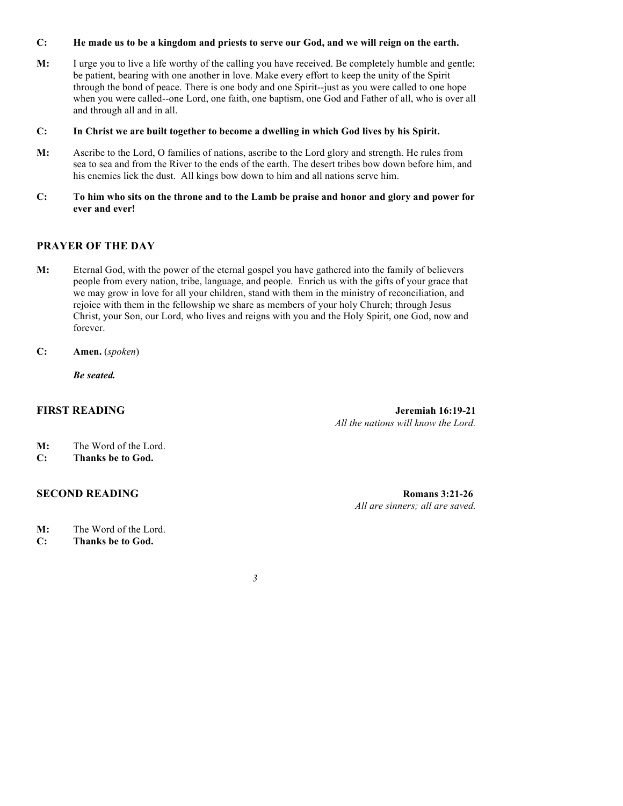#### **C: He made us to be a kingdom and priests to serve our God, and we will reign on the earth.**

- **M:** I urge you to live a life worthy of the calling you have received. Be completely humble and gentle; be patient, bearing with one another in love. Make every effort to keep the unity of the Spirit through the bond of peace. There is one body and one Spirit--just as you were called to one hope when you were called--one Lord, one faith, one baptism, one God and Father of all, who is over all and through all and in all.
- **C: In Christ we are built together to become a dwelling in which God lives by his Spirit.**
- **M:** Ascribe to the Lord, O families of nations, ascribe to the Lord glory and strength. He rules from sea to sea and from the River to the ends of the earth. The desert tribes bow down before him, and his enemies lick the dust. All kings bow down to him and all nations serve him.
- **C: To him who sits on the throne and to the Lamb be praise and honor and glory and power for ever and ever!**

### **PRAYER OF THE DAY**

- **M:** Eternal God, with the power of the eternal gospel you have gathered into the family of believers people from every nation, tribe, language, and people. Enrich us with the gifts of your grace that we may grow in love for all your children, stand with them in the ministry of reconciliation, and rejoice with them in the fellowship we share as members of your holy Church; through Jesus Christ, your Son, our Lord, who lives and reigns with you and the Holy Spirit, one God, now and forever.
- **C: Amen.** (*spoken*)

*Be seated.*

**FIRST READING Jeremiah 16:19-21** *All the nations will know the Lord.*

- **M:** The Word of the Lord.
- **C: Thanks be to God.**

#### **SECOND READING Romans 3:21-26**

*All are sinners; all are saved.*

- **M:** The Word of the Lord.
- **C: Thanks be to God.**

*3*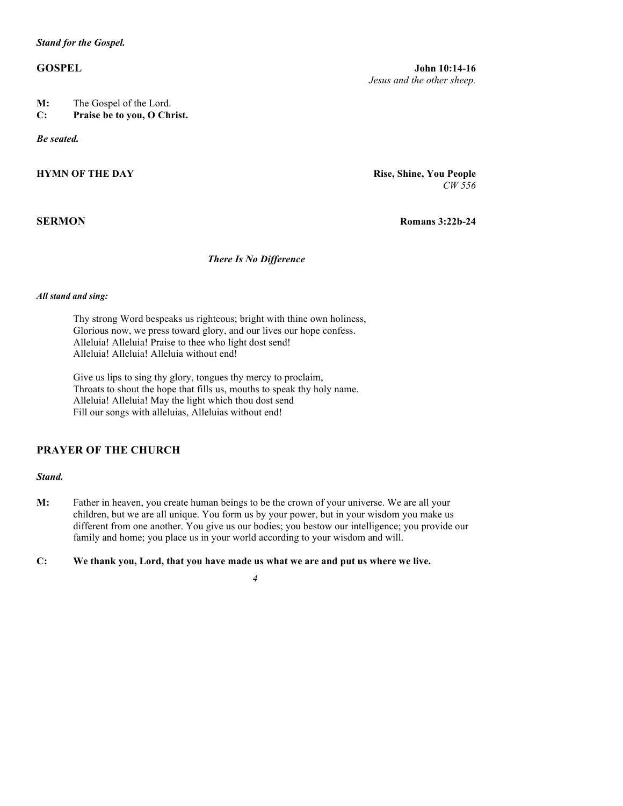#### *Stand for the Gospel.*

- **M:** The Gospel of the Lord.
- **C: Praise be to you, O Christ.**

*Be seated.*

### **HYMN OF THE DAY Rise, Shine, You People**

**GOSPEL John 10:14-16** *Jesus and the other sheep.*

*CW 556*

**SERMON Romans 3:22b-24**

#### *There Is No Difference*

#### *All stand and sing:*

Thy strong Word bespeaks us righteous; bright with thine own holiness, Glorious now, we press toward glory, and our lives our hope confess. Alleluia! Alleluia! Praise to thee who light dost send! Alleluia! Alleluia! Alleluia without end!

Give us lips to sing thy glory, tongues thy mercy to proclaim, Throats to shout the hope that fills us, mouths to speak thy holy name. Alleluia! Alleluia! May the light which thou dost send Fill our songs with alleluias, Alleluias without end!

### **PRAYER OF THE CHURCH**

#### *Stand.*

- **M:** Father in heaven, you create human beings to be the crown of your universe. We are all your children, but we are all unique. You form us by your power, but in your wisdom you make us different from one another. You give us our bodies; you bestow our intelligence; you provide our family and home; you place us in your world according to your wisdom and will.
- **C: We thank you, Lord, that you have made us what we are and put us where we live.** 
	- *4*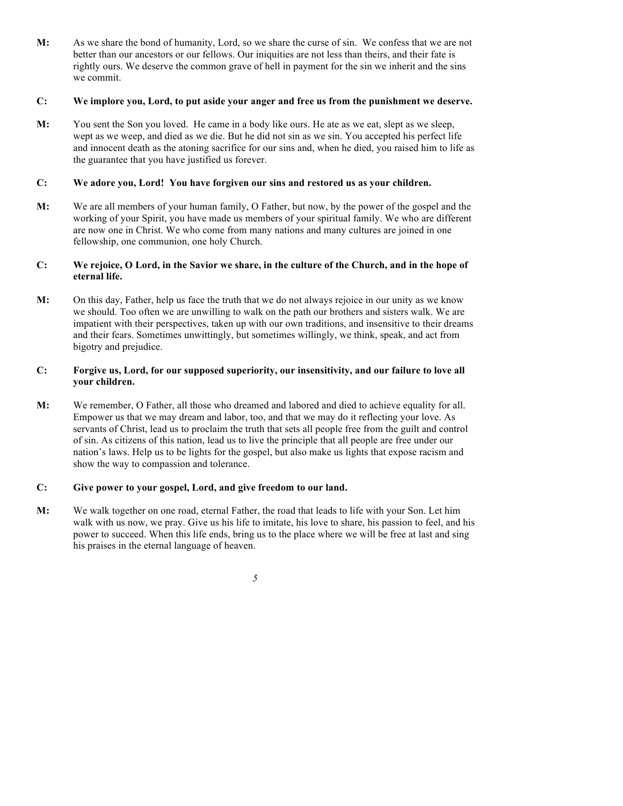**M:** As we share the bond of humanity, Lord, so we share the curse of sin. We confess that we are not better than our ancestors or our fellows. Our iniquities are not less than theirs, and their fate is rightly ours. We deserve the common grave of hell in payment for the sin we inherit and the sins we commit.

#### **C: We implore you, Lord, to put aside your anger and free us from the punishment we deserve.**

**M:** You sent the Son you loved. He came in a body like ours. He ate as we eat, slept as we sleep, wept as we weep, and died as we die. But he did not sin as we sin. You accepted his perfect life and innocent death as the atoning sacrifice for our sins and, when he died, you raised him to life as the guarantee that you have justified us forever.

#### **C: We adore you, Lord! You have forgiven our sins and restored us as your children.**

**M:** We are all members of your human family, O Father, but now, by the power of the gospel and the working of your Spirit, you have made us members of your spiritual family. We who are different are now one in Christ. We who come from many nations and many cultures are joined in one fellowship, one communion, one holy Church.

#### **C: We rejoice, O Lord, in the Savior we share, in the culture of the Church, and in the hope of eternal life.**

**M:** On this day, Father, help us face the truth that we do not always rejoice in our unity as we know we should. Too often we are unwilling to walk on the path our brothers and sisters walk. We are impatient with their perspectives, taken up with our own traditions, and insensitive to their dreams and their fears. Sometimes unwittingly, but sometimes willingly, we think, speak, and act from bigotry and prejudice.

#### **C: Forgive us, Lord, for our supposed superiority, our insensitivity, and our failure to love all your children.**

**M:** We remember, O Father, all those who dreamed and labored and died to achieve equality for all. Empower us that we may dream and labor, too, and that we may do it reflecting your love. As servants of Christ, lead us to proclaim the truth that sets all people free from the guilt and control of sin. As citizens of this nation, lead us to live the principle that all people are free under our nation's laws. Help us to be lights for the gospel, but also make us lights that expose racism and show the way to compassion and tolerance.

#### **C: Give power to your gospel, Lord, and give freedom to our land.**

**M:** We walk together on one road, eternal Father, the road that leads to life with your Son. Let him walk with us now, we pray. Give us his life to imitate, his love to share, his passion to feel, and his power to succeed. When this life ends, bring us to the place where we will be free at last and sing his praises in the eternal language of heaven.

*5*